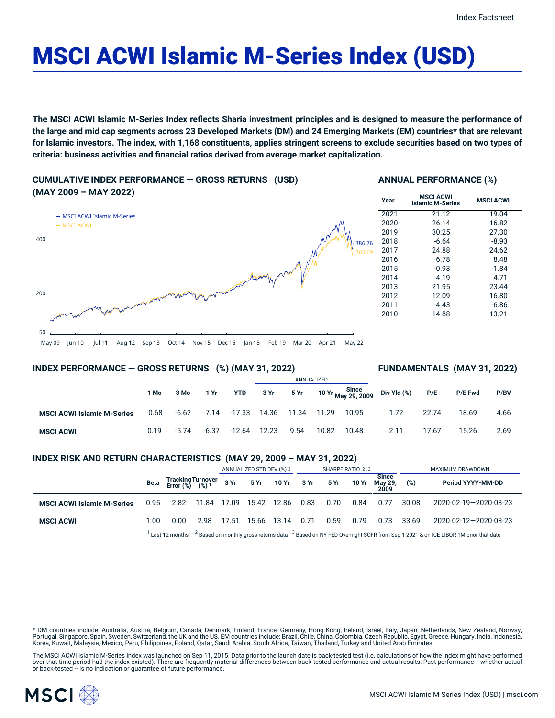# MSCI ACWI Islamic M-Series Index (USD)

**The MSCI ACWI Islamic M-Series Index reflects Sharia investment principles and is designed to measure the performance of** the large and mid cap segments across 23 Developed Markets (DM) and 24 Emerging Markets (EM) countries\* that are relevant for Islamic investors. The index, with 1,168 constituents, applies stringent screens to exclude securities based on two types of **criteria: business activities and financial ratios derived from average market capitalization.**

**CUMULATIVE INDEX PERFORMANCE — GROSS RETURNS (USD) (MAY 2009 – MAY 2022)**

# 50 200 400 - MSCI ACWI Islamic M-Series MSCI ACWI 386.76 65.69

# **ANNUAL PERFORMANCE (%)**

| Year | <b>MSCI ACWI</b><br><b>Islamic M-Series</b> | <b>MSCI ACWI</b> |
|------|---------------------------------------------|------------------|
| 2021 | 21.12                                       | 19.04            |
| 2020 | 26.14                                       | 16.82            |
| 2019 | 30.25                                       | 27.30            |
| 2018 | $-6.64$                                     | $-8.93$          |
| 2017 | 24.88                                       | 24.62            |
| 2016 | 6.78                                        | 8.48             |
| 2015 | $-0.93$                                     | $-1.84$          |
| 2014 | 4.19                                        | 4.71             |
| 2013 | 21.95                                       | 23.44            |
| 2012 | 12.09                                       | 16.80            |
| 2011 | $-4.43$                                     | $-6.86$          |
| 2010 | 14.88                                       | 13.21            |

May 09 Jun 10 Jul 11 Aug 12 Sep 13 Oct 14 Nov 15 Dec 16 Jan 18 Feb 19 Mar 20 Apr 21 May 22

# **INDEX PERFORMANCE — GROSS RETURNS (%) (MAY 31, 2022)**

### **FUNDAMENTALS (MAY 31, 2022)**

|                                   |         |         |               |            |       |       | ANNUALIZED |       |                                  |       |                |      |
|-----------------------------------|---------|---------|---------------|------------|-------|-------|------------|-------|----------------------------------|-------|----------------|------|
|                                   | 1 Mo    | 3 Mo    | 1 Yr          | <b>YTD</b> | 3 Yr  |       |            |       | 5 Yr 10 Yr Since Div Yld (%) P/E |       | <b>P/E Fwd</b> | P/BV |
| <b>MSCI ACWI Islamic M-Series</b> | $-0.68$ |         | $-6.62 -7.14$ | -17.33     | 14.36 | 11.34 | 11.29      | 10.95 | 1.72                             | 22.74 | 18.69          | 4.66 |
| <b>MSCI ACWI</b>                  | 0.19    | $-5.74$ | -6.37         | -12.64     | 12.23 | 9.54  | 10.82      | 10.48 | 2.11                             | 17.67 | 15.26          | 2.69 |

# **INDEX RISK AND RETURN CHARACTERISTICS (MAY 29, 2009 – MAY 31, 2022)**

|                                   |      |                                                 |                                                                                                                                                          | ANNUALIZED STD DEV (%) 2 |       | SHARPE RATIO 2,3          |      |      |       | MAXIMUM DRAWDOWN        |       |                          |
|-----------------------------------|------|-------------------------------------------------|----------------------------------------------------------------------------------------------------------------------------------------------------------|--------------------------|-------|---------------------------|------|------|-------|-------------------------|-------|--------------------------|
|                                   | Beta | Tracking Turnover<br>Error (%) (%) <sup>1</sup> |                                                                                                                                                          |                          |       | 3 Yr 5 Yr 10 Yr 3 Yr 5 Yr |      |      | 10 Yr | <b>Since</b><br>May 29, | (%)   | <b>Period YYYY-MM-DD</b> |
| <b>MSCI ACWI Islamic M-Series</b> | 0.95 | 2.82                                            | 11.84                                                                                                                                                    | 17.09                    | 15.42 | 12.86                     | 0.83 | 0.70 | 0.84  | 0.77                    | 30.08 | 2020-02-19-2020-03-23    |
| <b>MSCI ACWI</b>                  | 1.00 | 0.00                                            | 2.98                                                                                                                                                     | 17.51                    | 15.66 | 13.14                     | 0.71 | 0.59 | 0.79  | 0.73                    | 33.69 | 2020-02-12-2020-03-23    |
|                                   |      |                                                 | $^1$ Last 12 months $^{-2}$ Based on monthly gross returns data $^{-3}$ Based on NY FED Overnight SOFR from Sep 1 2021 & on ICE LIBOR 1M prior that date |                          |       |                           |      |      |       |                         |       |                          |

\* DM countries include: Australia, Austria, Belgium, Canada, Denmark, Finland, France, Germany, Hong Kong, Ireland, Israel, Italy, Japan, Netherlands, New Zealand, Norway, Portugal, Singapore, Spain, Sweden, Switzerland, the UK and the US. EM countries include: Brazil, Chile, China, Colombia, Czech Republic, Egypt, Greece, Hungary, India, Indonesia, Korea, Kuwait, Malaysia, Mexico, Peru, Philippines, Poland, Qatar, Saudi Arabia, South Africa, Taiwan, Thailand, Turkey and United Arab Emirates.

The MSCI ACWI Islamic M-Series Index was launched on Sep 11, 2015. Data prior to the launch date is back-tested test (i.e. calculations of how the index might have performed over that time period had the index existed). There are frequently material differences between back-tested performance and actual results. Past performance -- whether actual or back-tested -- is no indication or guarantee of future performance.

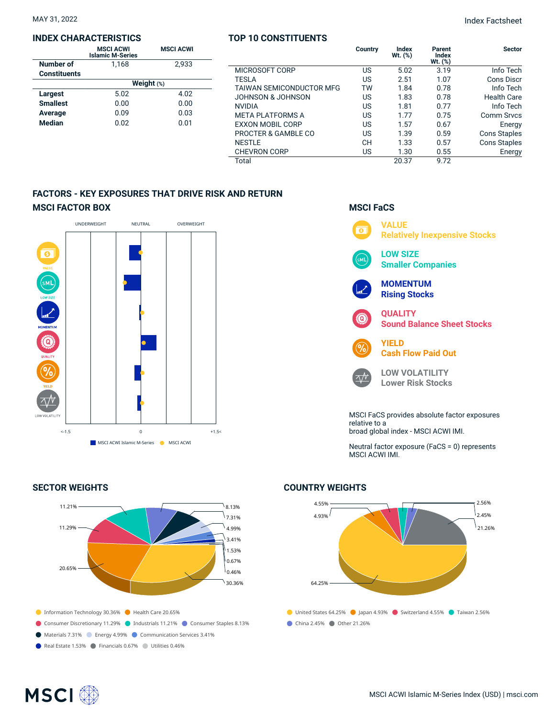#### **INDEX CHARACTERISTICS**

|                     | <b>MSCI ACWI</b><br><b>Islamic M-Series</b> | <b>MSCI ACWI</b> |  |  |  |  |  |
|---------------------|---------------------------------------------|------------------|--|--|--|--|--|
| Number of           | 1.168                                       | 2.933            |  |  |  |  |  |
| <b>Constituents</b> |                                             |                  |  |  |  |  |  |
|                     | Weight (%)                                  |                  |  |  |  |  |  |
| Largest             | 5.02                                        | 4.02             |  |  |  |  |  |
| <b>Smallest</b>     | 0.00                                        | 0.00             |  |  |  |  |  |
| Average             | 0.09                                        | 0.03             |  |  |  |  |  |
| <b>Median</b>       | 0.02                                        | 0.01             |  |  |  |  |  |

## **TOP 10 CONSTITUENTS**

|                                 | Country | <b>Index</b><br>$Wt.$ $(\%)$ | Parent<br>Index<br>$Wt.$ $(\%)$ | <b>Sector</b>       |
|---------------------------------|---------|------------------------------|---------------------------------|---------------------|
| MICROSOFT CORP                  | US      | 5.02                         | 3.19                            | Info Tech           |
| <b>TESLA</b>                    | US      | 2.51                         | 1.07                            | Cons Discr          |
| <b>TAIWAN SEMICONDUCTOR MFG</b> | TW      | 1.84                         | 0.78                            | Info Tech           |
| JOHNSON & JOHNSON               | US      | 1.83                         | 0.78                            | <b>Health Care</b>  |
| <b>NVIDIA</b>                   | US      | 1.81                         | 0.77                            | Info Tech           |
| <b>META PLATFORMS A</b>         | US      | 1.77                         | 0.75                            | <b>Comm Srvcs</b>   |
| <b>EXXON MOBIL CORP</b>         | US      | 1.57                         | 0.67                            | Energy              |
| PROCTER & GAMBLE CO             | US      | 1.39                         | 0.59                            | <b>Cons Staples</b> |
| <b>NESTLE</b>                   | CН      | 1.33                         | 0.57                            | <b>Cons Staples</b> |
| <b>CHEVRON CORP</b>             | US      | 1.30                         | 0.55                            | Energy              |
| Total                           |         | 20.37                        | 9.72                            |                     |

# **FACTORS - KEY EXPOSURES THAT DRIVE RISK AND RETURN MSCI FACTOR BOX**



# **SECTOR WEIGHTS**



# **MSCI FaCS**



broad global index - MSCI ACWI IMI.

Neutral factor exposure (FaCS = 0) represents MSCI ACWI IMI.

# **COUNTRY WEIGHTS**



# **MSCI**<sup></sup>